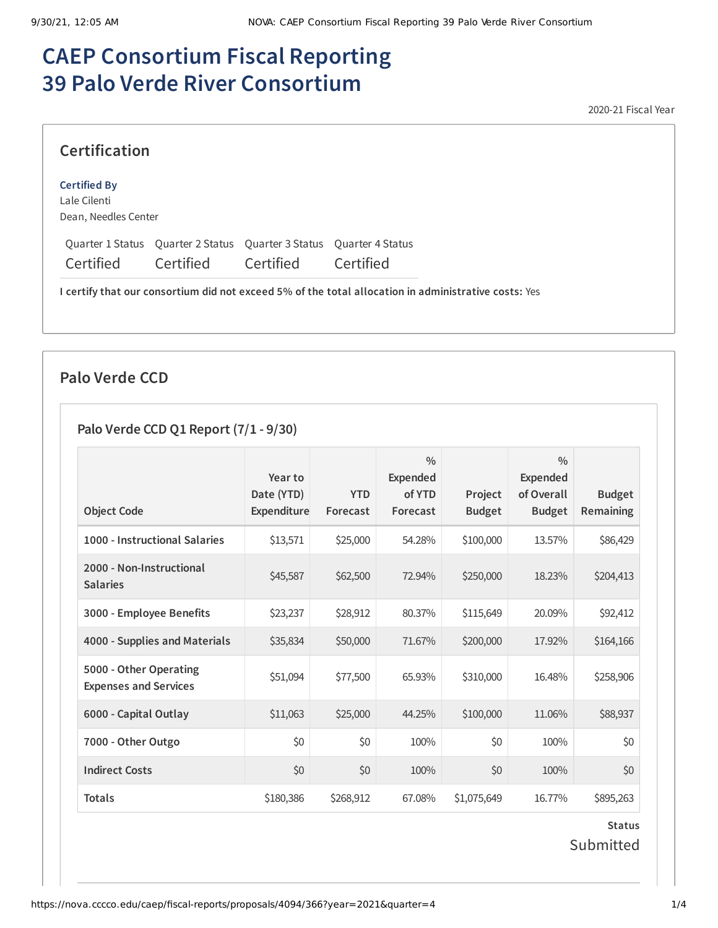# **CAEP Consortium Fiscal Reporting 39 Palo Verde River Consortium**

2020-21 Fiscal Year

|  | <b>Certification</b> |
|--|----------------------|

#### **Certified By**

Lale Cilenti Dean, Needles Center

Quarter 1 Status Quarter 2 Status Quarter 3 Status Quarter 4 Status Certified Certified Certified Certified

**I certify that our consortium did not exceed 5% of the total allocation in administrative costs:** Yes

## **Palo Verde CCD**

### **Palo Verde CCD Q1 Report (7/1 - 9/30)**

| <b>Object Code</b>                                     | Year to<br>Date (YTD)<br>Expenditure | <b>YTD</b><br>Forecast | $\frac{0}{0}$<br><b>Expended</b><br>of YTD<br>Forecast | Project<br><b>Budget</b> | $\frac{0}{0}$<br><b>Expended</b><br>of Overall<br><b>Budget</b> | <b>Budget</b><br>Remaining |
|--------------------------------------------------------|--------------------------------------|------------------------|--------------------------------------------------------|--------------------------|-----------------------------------------------------------------|----------------------------|
| 1000 - Instructional Salaries                          | \$13,571                             | \$25,000               | 54.28%                                                 | \$100,000                | 13.57%                                                          | \$86,429                   |
| 2000 - Non-Instructional<br><b>Salaries</b>            | \$45,587                             | \$62,500               | 72.94%                                                 | \$250,000                | 18.23%                                                          | \$204,413                  |
| 3000 - Employee Benefits                               | \$23,237                             | \$28,912               | 80.37%                                                 | \$115,649                | 20.09%                                                          | \$92,412                   |
| 4000 - Supplies and Materials                          | \$35,834                             | \$50,000               | 71.67%                                                 | \$200,000                | 17.92%                                                          | \$164,166                  |
| 5000 - Other Operating<br><b>Expenses and Services</b> | \$51,094                             | \$77,500               | 65.93%                                                 | \$310,000                | 16.48%                                                          | \$258,906                  |
| 6000 - Capital Outlay                                  | \$11,063                             | \$25,000               | 44.25%                                                 | \$100,000                | 11.06%                                                          | \$88,937                   |
| 7000 - Other Outgo                                     | \$0                                  | \$0                    | 100%                                                   | \$0\$                    | 100%                                                            | \$0                        |
| <b>Indirect Costs</b>                                  | \$0                                  | \$0                    | 100%                                                   | \$0                      | 100%                                                            | \$0                        |
| <b>Totals</b>                                          | \$180,386                            | \$268,912              | 67.08%                                                 | \$1,075,649              | 16.77%                                                          | \$895,263                  |
|                                                        |                                      |                        |                                                        |                          |                                                                 | <b>Status</b>              |

Submitted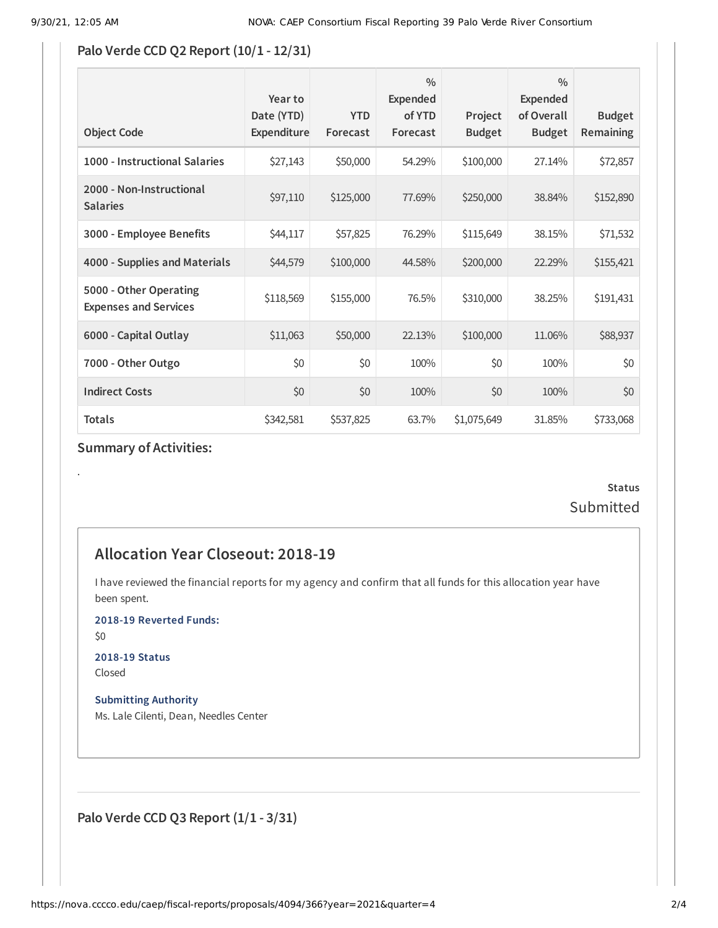### **Palo Verde CCD Q2 Report (10/1 - 12/31)**

| <b>Object Code</b>                                     | Year to<br>Date (YTD)<br>Expenditure | <b>YTD</b><br>Forecast | $\frac{0}{0}$<br><b>Expended</b><br>of YTD<br>Forecast | Project<br><b>Budget</b> | $\frac{0}{0}$<br><b>Expended</b><br>of Overall<br><b>Budget</b> | <b>Budget</b><br><b>Remaining</b> |
|--------------------------------------------------------|--------------------------------------|------------------------|--------------------------------------------------------|--------------------------|-----------------------------------------------------------------|-----------------------------------|
| 1000 - Instructional Salaries                          | \$27,143                             | \$50,000               | 54.29%                                                 | \$100,000                | 27.14%                                                          | \$72,857                          |
| 2000 - Non-Instructional<br><b>Salaries</b>            | \$97,110                             | \$125,000              | 77.69%                                                 | \$250,000                | 38.84%                                                          | \$152,890                         |
| 3000 - Employee Benefits                               | \$44,117                             | \$57,825               | 76.29%                                                 | \$115,649                | 38.15%                                                          | \$71,532                          |
| 4000 - Supplies and Materials                          | \$44,579                             | \$100,000              | 44.58%                                                 | \$200,000                | 22.29%                                                          | \$155,421                         |
| 5000 - Other Operating<br><b>Expenses and Services</b> | \$118,569                            | \$155,000              | 76.5%                                                  | \$310,000                | 38.25%                                                          | \$191,431                         |
| 6000 - Capital Outlay                                  | \$11,063                             | \$50,000               | 22.13%                                                 | \$100,000                | 11.06%                                                          | \$88,937                          |
| 7000 - Other Outgo                                     | \$0                                  | \$0                    | 100%                                                   | \$0                      | 100%                                                            | \$0                               |
| <b>Indirect Costs</b>                                  | \$0                                  | \$0                    | 100%                                                   | \$0                      | 100%                                                            | \$0                               |
| <b>Totals</b>                                          | \$342,581                            | \$537,825              | 63.7%                                                  | \$1,075,649              | 31.85%                                                          | \$733,068                         |

### **Summary of Activities:**

# **Status** Submitted

# **Allocation Year Closeout: 2018-19**

I have reviewed the financial reports for my agency and confirm that all funds for this allocation year have been spent.

**2018-19 Reverted Funds:**

\$0

.

**2018-19 Status** Closed

**Submitting Authority** Ms. Lale Cilenti, Dean, Needles Center

**Palo Verde CCD Q3 Report (1/1 - 3/31)**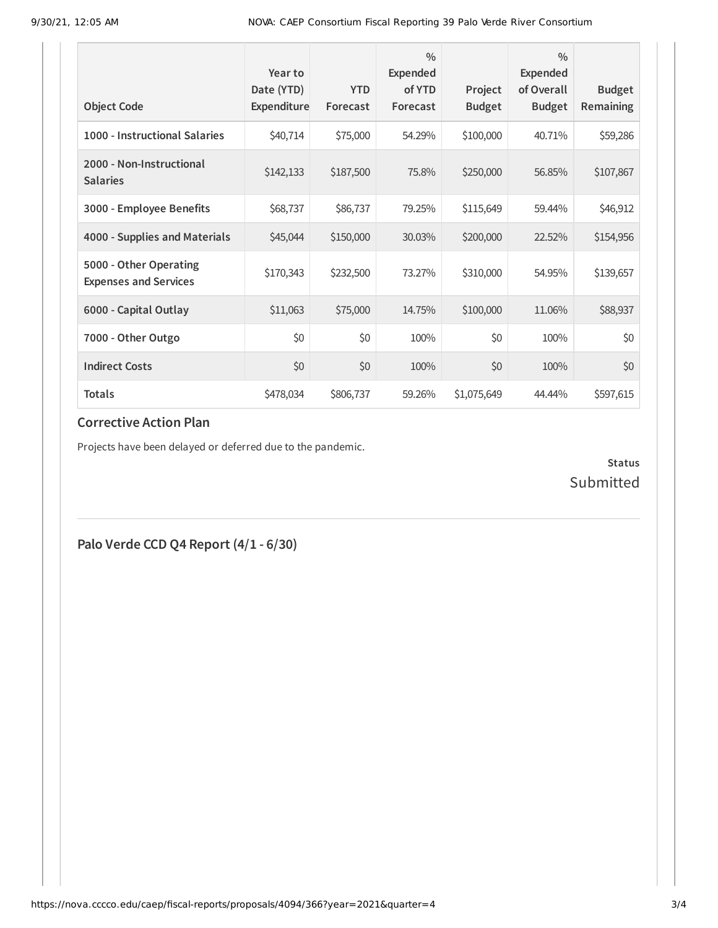| <b>Object Code</b>                                     | Year to<br>Date (YTD)<br>Expenditure | <b>YTD</b><br>Forecast | $\frac{0}{0}$<br>Expended<br>of YTD<br>Forecast | Project<br><b>Budget</b> | $\frac{0}{0}$<br>Expended<br>of Overall<br><b>Budget</b> | <b>Budget</b><br>Remaining |
|--------------------------------------------------------|--------------------------------------|------------------------|-------------------------------------------------|--------------------------|----------------------------------------------------------|----------------------------|
| 1000 - Instructional Salaries                          | \$40,714                             | \$75,000               | 54.29%                                          | \$100,000                | 40.71%                                                   | \$59,286                   |
| 2000 - Non-Instructional<br><b>Salaries</b>            | \$142,133                            | \$187,500              | 75.8%                                           | \$250,000                | 56.85%                                                   | \$107,867                  |
| 3000 - Employee Benefits                               | \$68,737                             | \$86,737               | 79.25%                                          | \$115,649                | 59.44%                                                   | \$46,912                   |
| 4000 - Supplies and Materials                          | \$45,044                             | \$150,000              | 30.03%                                          | \$200,000                | 22.52%                                                   | \$154,956                  |
| 5000 - Other Operating<br><b>Expenses and Services</b> | \$170,343                            | \$232,500              | 73.27%                                          | \$310,000                | 54.95%                                                   | \$139,657                  |
| 6000 - Capital Outlay                                  | \$11,063                             | \$75,000               | 14.75%                                          | \$100,000                | 11.06%                                                   | \$88,937                   |
| 7000 - Other Outgo                                     | \$0                                  | \$0                    | 100%                                            | \$0                      | 100%                                                     | \$0                        |
| <b>Indirect Costs</b>                                  | \$0                                  | \$0                    | 100%                                            | \$0                      | 100%                                                     | \$0                        |
| <b>Totals</b>                                          | \$478,034                            | \$806,737              | 59.26%                                          | \$1,075,649              | 44.44%                                                   | \$597,615                  |

#### **Corrective Action Plan**

Projects have been delayed or deferred due to the pandemic.

**Status** Submitted

**Palo Verde CCD Q4 Report (4/1 - 6/30)**